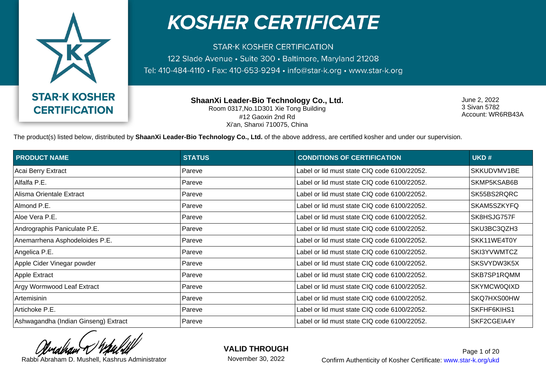

**STAR-K KOSHER CERTIFICATION** 122 Slade Avenue · Suite 300 · Baltimore, Maryland 21208 Tel: 410-484-4110 · Fax: 410-653-9294 · info@star-k.org · www.star-k.org

> **ShaanXi Leader-Bio Technology Co., Ltd.** Room 0317,No.1D301 Xie Tong Building #12 Gaoxin 2nd Rd Xi'an, Shanxi 710075, China

June 2, 2022 3 Sivan 5782 Account: WR6RB43A

The product(s) listed below, distributed by **ShaanXi Leader-Bio Technology Co., Ltd.** of the above address, are certified kosher and under our supervision.

| <b>PRODUCT NAME</b>                  | <b>STATUS</b> | <b>CONDITIONS OF CERTIFICATION</b>           | UKD#               |
|--------------------------------------|---------------|----------------------------------------------|--------------------|
| Acai Berry Extract                   | Pareve        | Label or lid must state CIQ code 6100/22052. | SKKUDVMV1BE        |
| Alfalfa P.E.                         | Pareve        | Label or lid must state CIQ code 6100/22052. | SKMP5KSAB6B        |
| Alisma Orientale Extract             | Pareve        | Label or lid must state CIQ code 6100/22052. | SK55BS2RQRC        |
| Almond P.E.                          | Pareve        | Label or lid must state CIQ code 6100/22052. | SKAM5SZKYFQ        |
| Aloe Vera P.E.                       | Pareve        | Label or lid must state CIQ code 6100/22052. | SK8HSJG757F        |
| Andrographis Paniculate P.E.         | Pareve        | Label or lid must state CIQ code 6100/22052. | SKU3BC3QZH3        |
| Anemarrhena Asphodeloides P.E.       | Pareve        | Label or lid must state CIQ code 6100/22052. | SKK11WE4T0Y        |
| Angelica P.E.                        | Pareve        | Label or lid must state CIQ code 6100/22052. | SKI3YVWMTCZ        |
| Apple Cider Vinegar powder           | Pareve        | Label or lid must state CIQ code 6100/22052. | SKSVYDW3K5X        |
| Apple Extract                        | Pareve        | Label or lid must state CIQ code 6100/22052. | SKB7SP1RQMM        |
| Argy Wormwood Leaf Extract           | Pareve        | Label or lid must state CIQ code 6100/22052. | <b>SKYMCW0QIXD</b> |
| Artemisinin                          | Pareve        | Label or lid must state CIQ code 6100/22052. | SKQ7HXS00HW        |
| Artichoke P.E.                       | Pareve        | Label or lid must state CIQ code 6100/22052. | SKFHF6KIHS1        |
| Ashwagandha (Indian Ginseng) Extract | Pareve        | Label or lid must state CIQ code 6100/22052. | SKF2CGEIA4Y        |

**VALID THROUGH**

November 30, 2022

Rabbi Abraham D. Mushell, Kashrus Administrator **Confirm Authenticity of Kosher Certificate:** www.star-k.org/ukd Page 1 of 20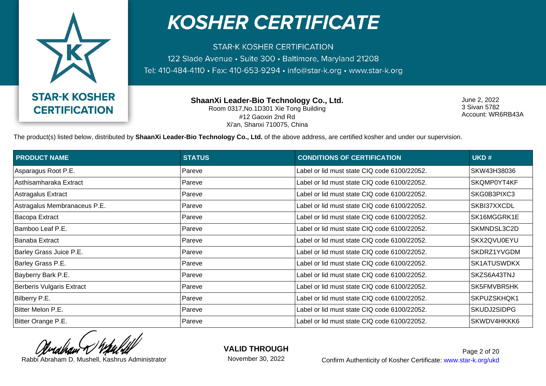

**STAR-K KOSHER CERTIFICATION** 122 Slade Avenue · Suite 300 · Baltimore, Maryland 21208 Tel: 410-484-4110 · Fax: 410-653-9294 · info@star-k.org · www.star-k.org

> **ShaanXi Leader-Bio Technology Co., Ltd.** Room 0317,No.1D301 Xie Tong Building #12 Gaoxin 2nd Rd Xi'an, Shanxi 710075, China

June 2, 2022 3 Sivan 5782 Account: WR6RB43A

The product(s) listed below, distributed by **ShaanXi Leader-Bio Technology Co., Ltd.** of the above address, are certified kosher and under our supervision.

| <b>PRODUCT NAME</b>              | <b>STATUS</b> | <b>CONDITIONS OF CERTIFICATION</b>           | UKD#        |
|----------------------------------|---------------|----------------------------------------------|-------------|
| Asparagus Root P.E.              | Pareve        | Label or lid must state CIQ code 6100/22052. | SKW43H38036 |
| Asthisamharaka Extract           | Pareve        | Label or lid must state CIQ code 6100/22052. | SKQMP0YT4KF |
| Astragalus Extract               | Pareve        | Label or lid must state CIQ code 6100/22052. | SKG0B3PIXC3 |
| Astragalus Membranaceus P.E.     | Pareve        | Label or lid must state CIQ code 6100/22052. | SKBI37XXCDL |
| Bacopa Extract                   | Pareve        | Label or lid must state CIQ code 6100/22052. | SK16MGGRK1E |
| Bamboo Leaf P.E.                 | Pareve        | Label or lid must state CIQ code 6100/22052. | SKMNDSL3C2D |
| Banaba Extract                   | Pareve        | Label or lid must state CIQ code 6100/22052. | SKX2QVU0EYU |
| Barley Grass Juice P.E.          | Pareve        | Label or lid must state CIQ code 6100/22052. | SKDRZ1YVGDM |
| Barley Grass P.E.                | Pareve        | Label or lid must state CIQ code 6100/22052. | SK1ATUSWDKX |
| Bayberry Bark P.E.               | Pareve        | Label or lid must state CIQ code 6100/22052. | SKZS6A43TNJ |
| <b>Berberis Vulgaris Extract</b> | Pareve        | Label or lid must state CIQ code 6100/22052. | SK5FMVBR5HK |
| Bilberry P.E.                    | Pareve        | Label or lid must state CIQ code 6100/22052. | SKPUZSKHQK1 |
| Bitter Melon P.E.                | Pareve        | Label or lid must state CIQ code 6100/22052. | SKUDJ2SIDPG |
| Bitter Orange P.E.               | Pareve        | Label or lid must state CIQ code 6100/22052. | SKWDV4HKKK6 |

**VALID THROUGH**

November 30, 2022

Rabbi Abraham D. Mushell, Kashrus Administrator **Confirm Authenticity of Kosher Certificate:** www.star-k.org/ukd Page 2 of 20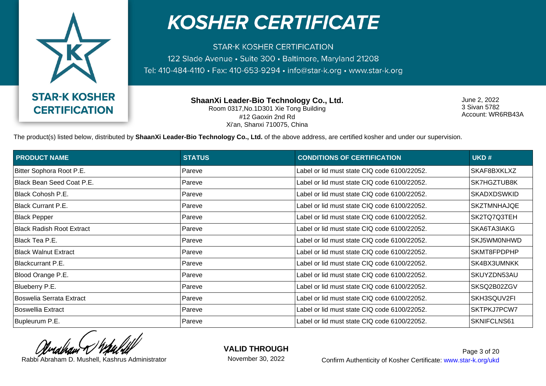

**STAR-K KOSHER CERTIFICATION** 122 Slade Avenue · Suite 300 · Baltimore, Maryland 21208 Tel: 410-484-4110 · Fax: 410-653-9294 · info@star-k.org · www.star-k.org

> **ShaanXi Leader-Bio Technology Co., Ltd.** Room 0317,No.1D301 Xie Tong Building #12 Gaoxin 2nd Rd Xi'an, Shanxi 710075, China

June 2, 2022 3 Sivan 5782 Account: WR6RB43A

The product(s) listed below, distributed by **ShaanXi Leader-Bio Technology Co., Ltd.** of the above address, are certified kosher and under our supervision.

| <b>PRODUCT NAME</b>         | <b>STATUS</b> | <b>CONDITIONS OF CERTIFICATION</b>           | UKD#               |
|-----------------------------|---------------|----------------------------------------------|--------------------|
| Bitter Sophora Root P.E.    | Pareve        | Label or lid must state CIQ code 6100/22052. | SKAF8BXKLXZ        |
| Black Bean Seed Coat P.E.   | Pareve        | Label or lid must state CIQ code 6100/22052. | SK7HGZTUB8K        |
| Black Cohosh P.E.           | Pareve        | Label or lid must state CIQ code 6100/22052. | <b>SKADXDSWKID</b> |
| Black Currant P.E.          | Pareve        | Label or lid must state CIQ code 6100/22052. | SKZTMNHAJQE        |
| <b>Black Pepper</b>         | Pareve        | Label or lid must state CIQ code 6100/22052. | SK2TQ7Q3TEH        |
| Black Radish Root Extract   | Pareve        | Label or lid must state CIQ code 6100/22052. | SKA6TA3IAKG        |
| Black Tea P.E.              | Pareve        | Label or lid must state CIQ code 6100/22052. | SKJ5WM0NHWD        |
| <b>Black Walnut Extract</b> | Pareve        | Label or lid must state CIQ code 6100/22052. | SKMT8FPDPHP        |
| Blackcurrant P.E.           | Pareve        | Label or lid must state CIQ code 6100/22052. | SK4BX3UMNKK        |
| Blood Orange P.E.           | Pareve        | Label or lid must state CIQ code 6100/22052. | SKUYZDN53AU        |
| Blueberry P.E.              | Pareve        | Label or lid must state CIQ code 6100/22052. | SKSQ2B02ZGV        |
| Boswelia Serrata Extract    | Pareve        | Label or lid must state CIQ code 6100/22052. | SKH3SQUV2FI        |
| Boswellia Extract           | Pareve        | Label or lid must state CIQ code 6100/22052. | SKTPKJ7PCW7        |
| Bupleurum P.E.              | Pareve        | Label or lid must state CIQ code 6100/22052. | SKNIFCLNS61        |

**VALID THROUGH**

November 30, 2022

Rabbi Abraham D. Mushell, Kashrus Administrator **Confirm Authenticity of Kosher Certificate:** www.star-k.org/ukd Page 3 of 20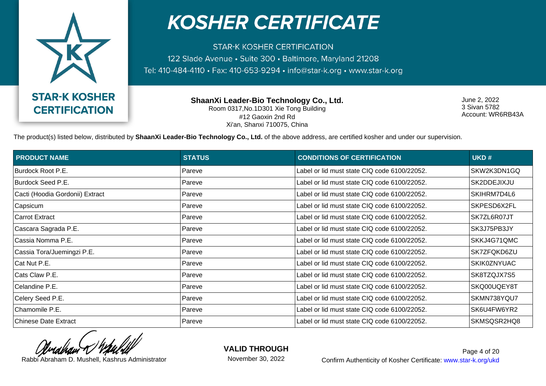

**STAR-K KOSHER CERTIFICATION** 122 Slade Avenue · Suite 300 · Baltimore, Maryland 21208 Tel: 410-484-4110 · Fax: 410-653-9294 · info@star-k.org · www.star-k.org

> **ShaanXi Leader-Bio Technology Co., Ltd.** Room 0317,No.1D301 Xie Tong Building #12 Gaoxin 2nd Rd Xi'an, Shanxi 710075, China

June 2, 2022 3 Sivan 5782 Account: WR6RB43A

The product(s) listed below, distributed by **ShaanXi Leader-Bio Technology Co., Ltd.** of the above address, are certified kosher and under our supervision.

| <b>PRODUCT NAME</b>             | <b>STATUS</b> | <b>CONDITIONS OF CERTIFICATION</b>           | UKD#               |
|---------------------------------|---------------|----------------------------------------------|--------------------|
| Burdock Root P.E.               | Pareve        | Label or lid must state CIQ code 6100/22052. | SKW2K3DN1GQ        |
| Burdock Seed P.E.               | Pareve        | Label or lid must state CIQ code 6100/22052. | SK2DDEJIXJU        |
| Cacti (Hoodia Gordonii) Extract | Pareve        | Label or lid must state CIQ code 6100/22052. | SKIHRM7D4L6        |
| Capsicum                        | Pareve        | Label or lid must state CIQ code 6100/22052. | SKPESD6X2FL        |
| <b>Carrot Extract</b>           | Pareve        | Label or lid must state CIQ code 6100/22052. | SK7ZL6R07JT        |
| Cascara Sagrada P.E.            | Pareve        | Label or lid must state CIQ code 6100/22052. | SK3J75PB3JY        |
| Cassia Nomma P.E.               | Pareve        | Label or lid must state CIQ code 6100/22052. | SKKJ4G71QMC        |
| Cassia Tora/Juemingzi P.E.      | Pareve        | Label or lid must state CIQ code 6100/22052. | SK7ZFQKD6ZU        |
| Cat Nut P.E.                    | Pareve        | Label or lid must state CIQ code 6100/22052. | <b>SKIK0ZNYUAC</b> |
| Cats Claw P.E.                  | Pareve        | Label or lid must state CIQ code 6100/22052. | SK8TZQJX7S5        |
| Celandine P.E.                  | Pareve        | Label or lid must state CIQ code 6100/22052. | SKQ00UQEY8T        |
| Celery Seed P.E.                | Pareve        | Label or lid must state CIQ code 6100/22052. | SKMN738YQU7        |
| Chamomile P.E.                  | Pareve        | Label or lid must state CIQ code 6100/22052. | SK6U4FW6YR2        |
| <b>Chinese Date Extract</b>     | Pareve        | Label or lid must state CIQ code 6100/22052. | SKMSQSR2HQ8        |

**VALID THROUGH**

November 30, 2022

Rabbi Abraham D. Mushell, Kashrus Administrator **Confirm Authenticity of Kosher Certificate:** www.star-k.org/ukd Page 4 of 20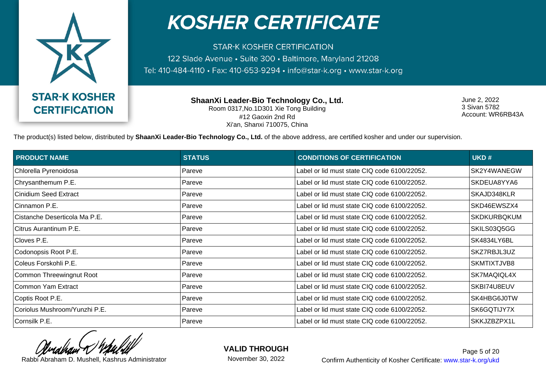

**STAR-K KOSHER CERTIFICATION** 122 Slade Avenue · Suite 300 · Baltimore, Maryland 21208 Tel: 410-484-4110 · Fax: 410-653-9294 · info@star-k.org · www.star-k.org

> **ShaanXi Leader-Bio Technology Co., Ltd.** Room 0317,No.1D301 Xie Tong Building #12 Gaoxin 2nd Rd Xi'an, Shanxi 710075, China

June 2, 2022 3 Sivan 5782 Account: WR6RB43A

The product(s) listed below, distributed by **ShaanXi Leader-Bio Technology Co., Ltd.** of the above address, are certified kosher and under our supervision.

| <b>PRODUCT NAME</b>           | <b>STATUS</b> | <b>CONDITIONS OF CERTIFICATION</b>           | UKD#               |
|-------------------------------|---------------|----------------------------------------------|--------------------|
| Chlorella Pyrenoidosa         | Pareve        | Label or lid must state CIQ code 6100/22052. | SK2Y4WANEGW        |
| Chrysanthemum P.E.            | Pareve        | Label or lid must state CIQ code 6100/22052. | SKDEUA8YYA6        |
| Cinidium Seed Extract         | Pareve        | Label or lid must state CIQ code 6100/22052. | SKAJD348KLR        |
| Cinnamon P.E.                 | Pareve        | Label or lid must state CIQ code 6100/22052. | SKD46EWSZX4        |
| Cistanche Deserticola Ma P.E. | Pareve        | Label or lid must state CIQ code 6100/22052. | <b>SKDKURBQKUM</b> |
| Citrus Aurantinum P.E.        | Pareve        | Label or lid must state CIQ code 6100/22052. | SKILS03Q5GG        |
| Cloves P.E.                   | Pareve        | Label or lid must state CIQ code 6100/22052. | SK4834LY6BL        |
| Codonopsis Root P.E.          | Pareve        | Label or lid must state CIQ code 6100/22052. | SKZ7RBJL3UZ        |
| Coleus Forskohli P.E.         | Pareve        | Label or lid must state CIQ code 6100/22052. | SKMTIXTJVB8        |
| Common Threewingnut Root      | Pareve        | Label or lid must state CIQ code 6100/22052. | SK7MAQIQL4X        |
| Common Yam Extract            | Pareve        | Label or lid must state CIQ code 6100/22052. | SKBI74U8EUV        |
| Coptis Root P.E.              | Pareve        | Label or lid must state CIQ code 6100/22052. | SK4HBG6J0TW        |
| Coriolus Mushroom/Yunzhi P.E. | Pareve        | Label or lid must state CIQ code 6100/22052. | SK6GQTIJY7X        |
| Cornsilk P.E.                 | Pareve        | Label or lid must state CIQ code 6100/22052. | SKKJZBZPX1L        |

**VALID THROUGH**

November 30, 2022

Rabbi Abraham D. Mushell, Kashrus Administrator **Confirm Authenticity of Kosher Certificate:** www.star-k.org/ukd Page 5 of 20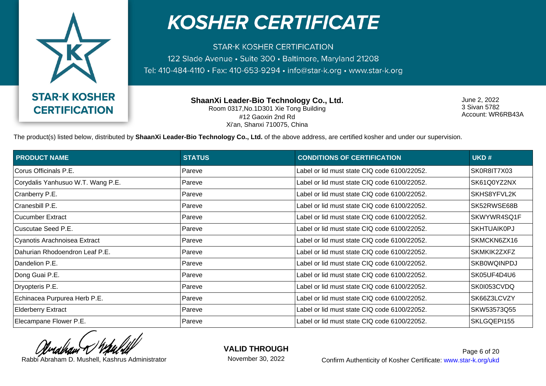

**STAR-K KOSHER CERTIFICATION** 122 Slade Avenue · Suite 300 · Baltimore, Maryland 21208 Tel: 410-484-4110 · Fax: 410-653-9294 · info@star-k.org · www.star-k.org

> **ShaanXi Leader-Bio Technology Co., Ltd.** Room 0317,No.1D301 Xie Tong Building #12 Gaoxin 2nd Rd Xi'an, Shanxi 710075, China

June 2, 2022 3 Sivan 5782 Account: WR6RB43A

The product(s) listed below, distributed by **ShaanXi Leader-Bio Technology Co., Ltd.** of the above address, are certified kosher and under our supervision.

| <b>PRODUCT NAME</b>               | <b>STATUS</b> | <b>CONDITIONS OF CERTIFICATION</b>           | UKD#               |
|-----------------------------------|---------------|----------------------------------------------|--------------------|
| Corus Officinals P.E.             | Pareve        | Label or lid must state CIQ code 6100/22052. | SK0R8IT7X03        |
| Corydalis Yanhusuo W.T. Wang P.E. | Pareve        | Label or lid must state CIQ code 6100/22052. | SK61Q0YZ2NX        |
| Cranberry P.E.                    | Pareve        | Label or lid must state CIQ code 6100/22052. | SKHS8YFVL2K        |
| Cranesbill P.E.                   | Pareve        | Label or lid must state CIQ code 6100/22052. | SK52RWSE68B        |
| Cucumber Extract                  | Pareve        | Label or lid must state CIQ code 6100/22052. | SKWYWR4SQ1F        |
| Cuscutae Seed P.E.                | Pareve        | Label or lid must state CIQ code 6100/22052. | <b>SKHTUAIK0PJ</b> |
| Cyanotis Arachnoisea Extract      | Pareve        | Label or lid must state CIQ code 6100/22052. | SKMCKN6ZX16        |
| Dahurian Rhodoendron Leaf P.E.    | Pareve        | Label or lid must state CIQ code 6100/22052. | SKMKIK2ZXFZ        |
| Dandelion P.E.                    | Pareve        | Label or lid must state CIQ code 6100/22052. | <b>SKB0WQINPDJ</b> |
| Dong Guai P.E.                    | Pareve        | Label or lid must state CIQ code 6100/22052. | SK05UF4D4U6        |
| Dryopteris P.E.                   | Pareve        | Label or lid must state CIQ code 6100/22052. | SK0I053CVDQ        |
| Echinacea Purpurea Herb P.E.      | Pareve        | Label or lid must state CIQ code 6100/22052. | SK66Z3LCVZY        |
| <b>Elderberry Extract</b>         | Pareve        | Label or lid must state CIQ code 6100/22052. | SKW53573Q55        |
| Elecampane Flower P.E.            | Pareve        | Label or lid must state CIQ code 6100/22052. | SKLGQEPI155        |

**VALID THROUGH**

November 30, 2022

Rabbi Abraham D. Mushell, Kashrus Administrator **Confirm Authenticity of Kosher Certificate:** www.star-k.org/ukd Page 6 of 20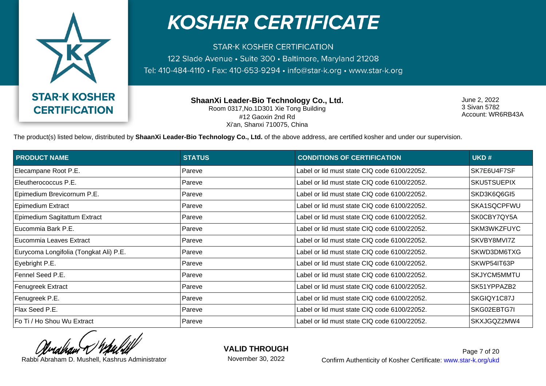

**STAR-K KOSHER CERTIFICATION** 122 Slade Avenue · Suite 300 · Baltimore, Maryland 21208 Tel: 410-484-4110 · Fax: 410-653-9294 · info@star-k.org · www.star-k.org

> **ShaanXi Leader-Bio Technology Co., Ltd.** Room 0317,No.1D301 Xie Tong Building #12 Gaoxin 2nd Rd Xi'an, Shanxi 710075, China

June 2, 2022 3 Sivan 5782 Account: WR6RB43A

The product(s) listed below, distributed by **ShaanXi Leader-Bio Technology Co., Ltd.** of the above address, are certified kosher and under our supervision.

| <b>PRODUCT NAME</b>                    | <b>STATUS</b> | <b>CONDITIONS OF CERTIFICATION</b>           | UKD#               |
|----------------------------------------|---------------|----------------------------------------------|--------------------|
| Elecampane Root P.E.                   | Pareve        | Label or lid must state CIQ code 6100/22052. | SK7E6U4F7SF        |
| Eleutherococcus P.E.                   | Pareve        | Label or lid must state CIQ code 6100/22052. | SKU5TSUEPIX        |
| Epimedium Brevicornum P.E.             | Pareve        | Label or lid must state CIQ code 6100/22052. | SKD3K6Q6GI5        |
| Epimedium Extract                      | Pareve        | Label or lid must state CIQ code 6100/22052. | SKA1SQCPFWU        |
| Epimedium Sagitattum Extract           | Pareve        | Label or lid must state CIQ code 6100/22052. | SK0CBY7QY5A        |
| Eucommia Bark P.E.                     | Pareve        | Label or lid must state CIQ code 6100/22052. | SKM3WKZFUYC        |
| Eucommia Leaves Extract                | Pareve        | Label or lid must state CIQ code 6100/22052. | SKVBY8MVI7Z        |
| Eurycoma Longifolia (Tongkat Ali) P.E. | Pareve        | Label or lid must state CIQ code 6100/22052. | SKWD3DM6TXG        |
| Eyebright P.E.                         | Pareve        | Label or lid must state CIQ code 6100/22052. | SKWP54IT63P        |
| Fennel Seed P.E.                       | Pareve        | Label or lid must state CIQ code 6100/22052. | <b>SKJYCM5MMTU</b> |
| <b>Fenugreek Extract</b>               | Pareve        | Label or lid must state CIQ code 6100/22052. | SK51YPPAZB2        |
| Fenugreek P.E.                         | Pareve        | Label or lid must state CIQ code 6100/22052. | SKGIQY1C87J        |
| Flax Seed P.E.                         | Pareve        | Label or lid must state CIQ code 6100/22052. | SKG02EBTG7I        |
| Fo Ti / Ho Shou Wu Extract             | Pareve        | Label or lid must state CIQ code 6100/22052. | SKXJGQZ2MW4        |

**VALID THROUGH**

November 30, 2022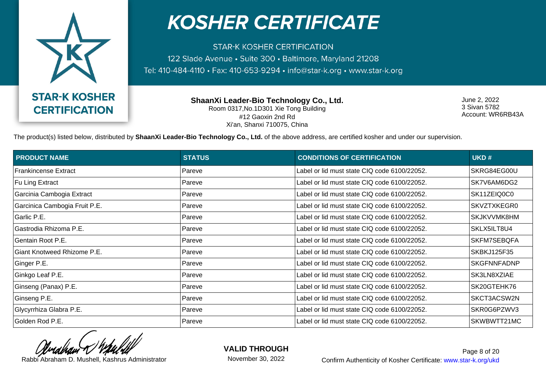

**STAR-K KOSHER CERTIFICATION** 122 Slade Avenue · Suite 300 · Baltimore, Maryland 21208 Tel: 410-484-4110 · Fax: 410-653-9294 · info@star-k.org · www.star-k.org

> **ShaanXi Leader-Bio Technology Co., Ltd.** Room 0317,No.1D301 Xie Tong Building #12 Gaoxin 2nd Rd Xi'an, Shanxi 710075, China

June 2, 2022 3 Sivan 5782 Account: WR6RB43A

The product(s) listed below, distributed by **ShaanXi Leader-Bio Technology Co., Ltd.** of the above address, are certified kosher and under our supervision.

| <b>PRODUCT NAME</b>           | <b>STATUS</b> | <b>CONDITIONS OF CERTIFICATION</b>           | UKD#               |
|-------------------------------|---------------|----------------------------------------------|--------------------|
| <b>Frankincense Extract</b>   | Pareve        | Label or lid must state CIQ code 6100/22052. | SKRG84EG00U        |
| Fu Ling Extract               | Pareve        | Label or lid must state CIQ code 6100/22052. | SK7V6AM6DG2        |
| Garcinia Cambogia Extract     | Pareve        | Label or lid must state CIQ code 6100/22052. | SK11ZEIQ0C0        |
| Garcinica Cambogia Fruit P.E. | Pareve        | Label or lid must state CIQ code 6100/22052. | SKVZTXKEGR0        |
| Garlic P.E.                   | Pareve        | Label or lid must state CIQ code 6100/22052. | SKJKVVMK8HM        |
| Gastrodia Rhizoma P.E.        | Pareve        | Label or lid must state CIQ code 6100/22052. | SKLX5ILT8U4        |
| Gentain Root P.E.             | Pareve        | Label or lid must state CIQ code 6100/22052. | SKFM7SEBQFA        |
| Giant Knotweed Rhizome P.E.   | Pareve        | Label or lid must state CIQ code 6100/22052. | <b>SKBKJ125F35</b> |
| Ginger P.E.                   | Pareve        | Label or lid must state CIQ code 6100/22052. | <b>SKGFNNFADNP</b> |
| Ginkgo Leaf P.E.              | Pareve        | Label or lid must state CIQ code 6100/22052. | SK3LN8XZIAE        |
| Ginseng (Panax) P.E.          | Pareve        | Label or lid must state CIQ code 6100/22052. | SK20GTEHK76        |
| Ginseng P.E.                  | Pareve        | Label or lid must state CIQ code 6100/22052. | SKCT3ACSW2N        |
| Glycyrrhiza Glabra P.E.       | Pareve        | Label or lid must state CIQ code 6100/22052. | SKR0G6PZWV3        |
| Golden Rod P.E.               | Pareve        | Label or lid must state CIQ code 6100/22052. | SKWBWTT21MC        |

**VALID THROUGH**

November 30, 2022

Rabbi Abraham D. Mushell, Kashrus Administrator **Confirm Authenticity of Kosher Certificate:** www.star-k.org/ukd Page 8 of 20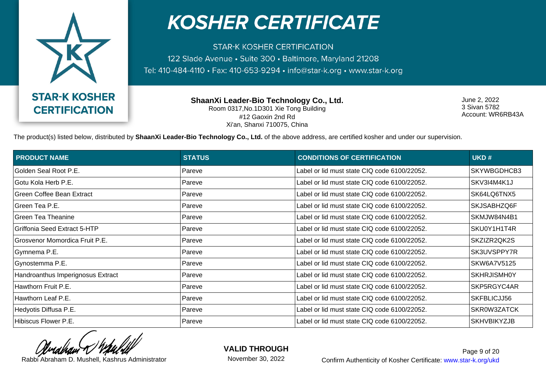

**STAR-K KOSHER CERTIFICATION** 122 Slade Avenue · Suite 300 · Baltimore, Maryland 21208 Tel: 410-484-4110 · Fax: 410-653-9294 · info@star-k.org · www.star-k.org

> **ShaanXi Leader-Bio Technology Co., Ltd.** Room 0317,No.1D301 Xie Tong Building #12 Gaoxin 2nd Rd Xi'an, Shanxi 710075, China

June 2, 2022 3 Sivan 5782 Account: WR6RB43A

The product(s) listed below, distributed by **ShaanXi Leader-Bio Technology Co., Ltd.** of the above address, are certified kosher and under our supervision.

| <b>PRODUCT NAME</b>               | <b>STATUS</b> | <b>CONDITIONS OF CERTIFICATION</b>           | UKD#               |
|-----------------------------------|---------------|----------------------------------------------|--------------------|
| Golden Seal Root P.E.             | Pareve        | Label or lid must state CIQ code 6100/22052. | <b>SKYWBGDHCB3</b> |
| Gotu Kola Herb P.E.               | Pareve        | Label or lid must state CIQ code 6100/22052. | SKV3I4M4K1J        |
| Green Coffee Bean Extract         | Pareve        | Label or lid must state CIQ code 6100/22052. | SK64LQ6TNX5        |
| Green Tea P.E.                    | Pareve        | Label or lid must state CIQ code 6100/22052. | SKJSABHZQ6F        |
| Green Tea Theanine                | Pareve        | Label or lid must state CIQ code 6100/22052. | SKMJW84N4B1        |
| Griffonia Seed Extract 5-HTP      | Pareve        | Label or lid must state CIQ code 6100/22052. | SKU0Y1H1T4R        |
| Grosvenor Momordica Fruit P.E.    | Pareve        | Label or lid must state CIQ code 6100/22052. | SKZIZR2QK2S        |
| Gymnema P.E.                      | Pareve        | Label or lid must state CIQ code 6100/22052. | SK3UVSPPY7R        |
| Gynostemma P.E.                   | Pareve        | Label or lid must state CIQ code 6100/22052. | SKW6A7V5125        |
| Handroanthus Imperignosus Extract | Pareve        | Label or lid must state CIQ code 6100/22052. | <b>SKHRJISMH0Y</b> |
| Hawthorn Fruit P.E.               | Pareve        | Label or lid must state CIQ code 6100/22052. | SKP5RGYC4AR        |
| Hawthorn Leaf P.E.                | Pareve        | Label or lid must state CIQ code 6100/22052. | SKFBLICJJ56        |
| Hedyotis Diffusa P.E.             | Pareve        | Label or lid must state CIQ code 6100/22052. | SKR0W3ZATCK        |
| Hibiscus Flower P.E.              | Pareve        | Label or lid must state CIQ code 6100/22052. | <b>SKHVBIKYZJB</b> |

**VALID THROUGH**

November 30, 2022

Rabbi Abraham D. Mushell, Kashrus Administrator **Confirm Authenticity of Kosher Certificate:** www.star-k.org/ukd Page 9 of 20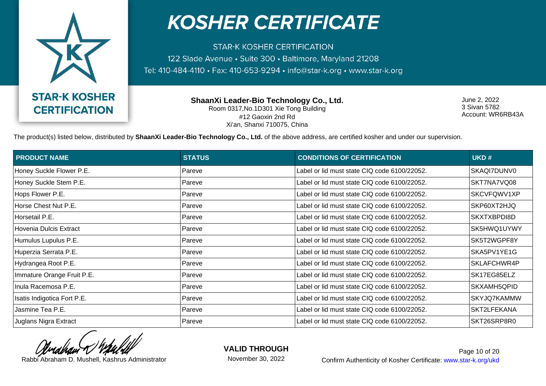

**STAR-K KOSHER CERTIFICATION** 122 Slade Avenue · Suite 300 · Baltimore, Maryland 21208 Tel: 410-484-4110 · Fax: 410-653-9294 · info@star-k.org · www.star-k.org

> **ShaanXi Leader-Bio Technology Co., Ltd.** Room 0317,No.1D301 Xie Tong Building #12 Gaoxin 2nd Rd Xi'an, Shanxi 710075, China

June 2, 2022 3 Sivan 5782 Account: WR6RB43A

The product(s) listed below, distributed by **ShaanXi Leader-Bio Technology Co., Ltd.** of the above address, are certified kosher and under our supervision.

| <b>PRODUCT NAME</b>         | <b>STATUS</b> | <b>CONDITIONS OF CERTIFICATION</b>           | UKD#        |
|-----------------------------|---------------|----------------------------------------------|-------------|
| Honey Suckle Flower P.E.    | Pareve        | Label or lid must state CIQ code 6100/22052. | SKAQI7DUNV0 |
| Honey Suckle Stem P.E.      | Pareve        | Label or lid must state CIQ code 6100/22052. | SKT7NA7VQ08 |
| Hops Flower P.E.            | Pareve        | Label or lid must state CIQ code 6100/22052. | SKCVFQWV1XP |
| Horse Chest Nut P.E.        | Pareve        | Label or lid must state CIQ code 6100/22052. | SKP60XT2HJQ |
| Horsetail P.E.              | Pareve        | Label or lid must state CIQ code 6100/22052. | SKXTXBPDI8D |
| Hovenia Dulcis Extract      | Pareve        | Label or lid must state CIQ code 6100/22052. | SK5HWQ1UYWY |
| Humulus Lupulus P.E.        | Pareve        | Label or lid must state CIQ code 6100/22052. | SK5T2WGPF8Y |
| Huperzia Serrata P.E.       | Pareve        | Label or lid must state CIQ code 6100/22052. | SKA5PV1YE1G |
| Hydrangea Root P.E.         | Pareve        | Label or lid must state CIQ code 6100/22052. | SKLAFCHWR4P |
| Immature Orange Fruit P.E.  | Pareve        | Label or lid must state CIQ code 6100/22052. | SK17EG85ELZ |
| Inula Racemosa P.E.         | Pareve        | Label or lid must state CIQ code 6100/22052. | SKXAMH5QPID |
| Isatis Indigotica Fort P.E. | Pareve        | Label or lid must state CIQ code 6100/22052. | SKYJQ7KAMMW |
| Jasmine Tea P.E.            | Pareve        | Label or lid must state CIQ code 6100/22052. | SKT2LFEKANA |
| Juglans Nigra Extract       | Pareve        | Label or lid must state CIQ code 6100/22052. | SKT26SRP8R0 |

**VALID THROUGH**

November 30, 2022

Rabbi Abraham D. Mushell, Kashrus Administrator **Confirm Authenticity of Kosher Certificate:** www.star-k.org/ukd Page 10 of 20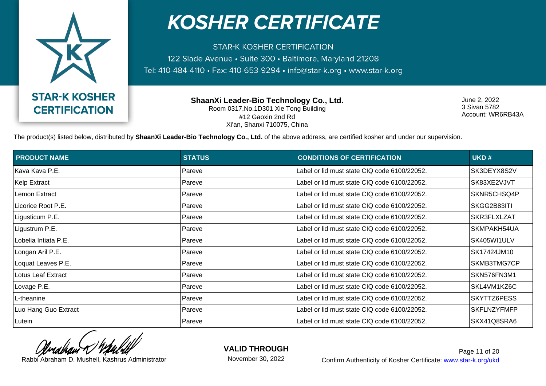

**STAR-K KOSHER CERTIFICATION** 122 Slade Avenue · Suite 300 · Baltimore, Maryland 21208 Tel: 410-484-4110 · Fax: 410-653-9294 · info@star-k.org · www.star-k.org

> **ShaanXi Leader-Bio Technology Co., Ltd.** Room 0317,No.1D301 Xie Tong Building #12 Gaoxin 2nd Rd Xi'an, Shanxi 710075, China

June 2, 2022 3 Sivan 5782 Account: WR6RB43A

The product(s) listed below, distributed by **ShaanXi Leader-Bio Technology Co., Ltd.** of the above address, are certified kosher and under our supervision.

| <b>PRODUCT NAME</b>  | <b>STATUS</b> | <b>CONDITIONS OF CERTIFICATION</b>           | UKD#               |
|----------------------|---------------|----------------------------------------------|--------------------|
| Kava Kava P.E.       | Pareve        | Label or lid must state CIQ code 6100/22052. | SK3DEYX8S2V        |
| Kelp Extract         | Pareve        | Label or lid must state CIQ code 6100/22052. | SK83XE2VJVT        |
| Lemon Extract        | Pareve        | Label or lid must state CIQ code 6100/22052. | SKNR5CHSQ4P        |
| Licorice Root P.E.   | Pareve        | Label or lid must state CIQ code 6100/22052. | SKGG2B83ITI        |
| Ligusticum P.E.      | Pareve        | Label or lid must state CIQ code 6100/22052. | SKR3FLXLZAT        |
| Ligustrum P.E.       | Pareve        | Label or lid must state CIQ code 6100/22052. | SKMPAKH54UA        |
| Lobelia Intiata P.E. | Pareve        | Label or lid must state CIQ code 6100/22052. | SK405WI1ULV        |
| Longan Aril P.E.     | Pareve        | Label or lid must state CIQ code 6100/22052. | SK17424JM10        |
| Loquat Leaves P.E.   | Pareve        | Label or lid must state CIQ code 6100/22052. | SKMB3TMG7CP        |
| Lotus Leaf Extract   | Pareve        | Label or lid must state CIQ code 6100/22052. | SKN576FN3M1        |
| Lovage P.E.          | Pareve        | Label or lid must state CIQ code 6100/22052. | SKL4VM1KZ6C        |
| L-theanine           | Pareve        | Label or lid must state CIQ code 6100/22052. | SKYTTZ6PESS        |
| Luo Hang Guo Extract | Pareve        | Label or lid must state CIQ code 6100/22052. | <b>SKFLNZYFMFP</b> |
| Lutein               | Pareve        | Label or lid must state CIQ code 6100/22052. | SKX41Q8SRA6        |

**VALID THROUGH**

November 30, 2022

Rabbi Abraham D. Mushell, Kashrus Administrator **Confirm Authenticity of Kosher Certificate:** www.star-k.org/ukd Page 11 of 20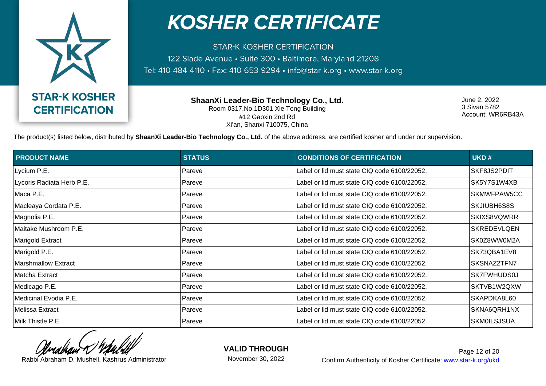

**STAR-K KOSHER CERTIFICATION** 122 Slade Avenue · Suite 300 · Baltimore, Maryland 21208 Tel: 410-484-4110 · Fax: 410-653-9294 · info@star-k.org · www.star-k.org

> **ShaanXi Leader-Bio Technology Co., Ltd.** Room 0317,No.1D301 Xie Tong Building #12 Gaoxin 2nd Rd Xi'an, Shanxi 710075, China

June 2, 2022 3 Sivan 5782 Account: WR6RB43A

The product(s) listed below, distributed by **ShaanXi Leader-Bio Technology Co., Ltd.** of the above address, are certified kosher and under our supervision.

| <b>PRODUCT NAME</b>       | <b>STATUS</b> | <b>CONDITIONS OF CERTIFICATION</b>           | UKD#               |
|---------------------------|---------------|----------------------------------------------|--------------------|
| Lycium P.E.               | Pareve        | Label or lid must state CIQ code 6100/22052. | SKF8JS2PDIT        |
| Lycoris Radiata Herb P.E. | Pareve        | Label or lid must state CIQ code 6100/22052. | SK5Y7S1W4XB        |
| Maca P.E.                 | Pareve        | Label or lid must state CIQ code 6100/22052. | SKMWFPAW5CC        |
| Macleaya Cordata P.E.     | Pareve        | Label or lid must state CIQ code 6100/22052. | SKJIUBH6S8S        |
| Magnolia P.E.             | Pareve        | Label or lid must state CIQ code 6100/22052. | SKIXS8VQWRR        |
| Maitake Mushroom P.E.     | Pareve        | Label or lid must state CIQ code 6100/22052. | <b>SKREDEVLQEN</b> |
| Marigold Extract          | Pareve        | Label or lid must state CIQ code 6100/22052. | SK0Z8WW0M2A        |
| Marigold P.E.             | Pareve        | Label or lid must state CIQ code 6100/22052. | SK73QBA1EV8        |
| Marshmallow Extract       | Pareve        | Label or lid must state CIQ code 6100/22052. | SKSNAZ2TFN7        |
| Matcha Extract            | Pareve        | Label or lid must state CIQ code 6100/22052. | SK7FWHUDS0J        |
| Medicago P.E.             | Pareve        | Label or lid must state CIQ code 6100/22052. | SKTVB1W2QXW        |
| Medicinal Evodia P.E.     | Pareve        | Label or lid must state CIQ code 6100/22052. | SKAPDKA8L60        |
| Melissa Extract           | Pareve        | Label or lid must state CIQ code 6100/22052. | SKNA6QRH1NX        |
| Milk Thistle P.E.         | Pareve        | Label or lid must state CIQ code 6100/22052. | <b>SKM0ILSJSUA</b> |

**VALID THROUGH**

November 30, 2022

Rabbi Abraham D. Mushell, Kashrus Administrator **Confirm Authenticity of Kosher Certificate:** www.star-k.org/ukd Page 12 of 20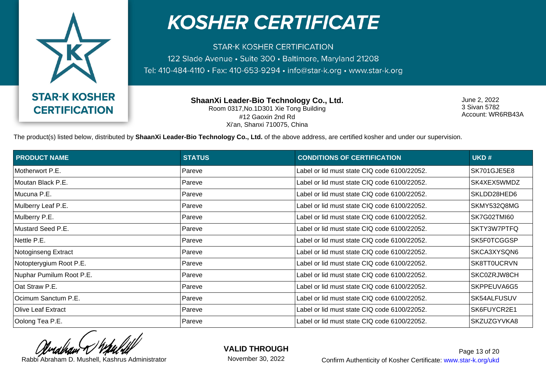

**STAR-K KOSHER CERTIFICATION** 122 Slade Avenue · Suite 300 · Baltimore, Maryland 21208 Tel: 410-484-4110 · Fax: 410-653-9294 · info@star-k.org · www.star-k.org

> **ShaanXi Leader-Bio Technology Co., Ltd.** Room 0317,No.1D301 Xie Tong Building #12 Gaoxin 2nd Rd Xi'an, Shanxi 710075, China

June 2, 2022 3 Sivan 5782 Account: WR6RB43A

The product(s) listed below, distributed by **ShaanXi Leader-Bio Technology Co., Ltd.** of the above address, are certified kosher and under our supervision.

| <b>PRODUCT NAME</b>       | <b>STATUS</b> | <b>CONDITIONS OF CERTIFICATION</b>           | UKD#        |
|---------------------------|---------------|----------------------------------------------|-------------|
| Motherwort P.E.           | Pareve        | Label or lid must state CIQ code 6100/22052. | SK701GJE5E8 |
| Moutan Black P.E.         | Pareve        | Label or lid must state CIQ code 6100/22052. | SK4XEX5WMDZ |
| Mucuna P.E.               | Pareve        | Label or lid must state CIQ code 6100/22052. | SKLDD28HED6 |
| Mulberry Leaf P.E.        | Pareve        | Label or lid must state CIQ code 6100/22052. | SKMY532Q8MG |
| Mulberry P.E.             | Pareve        | Label or lid must state CIQ code 6100/22052. | SK7G02TMI60 |
| Mustard Seed P.E.         | Pareve        | Label or lid must state CIQ code 6100/22052. | SKTY3W7PTFQ |
| Nettle P.E.               | Pareve        | Label or lid must state CIQ code 6100/22052. | SK5F0TCGGSP |
| Notoginseng Extract       | Pareve        | Label or lid must state CIQ code 6100/22052. | SKCA3XYSQN6 |
| Notopterygium Root P.E.   | Pareve        | Label or lid must state CIQ code 6100/22052. | SK8TT0UCRVN |
| Nuphar Pumilum Root P.E.  | Pareve        | Label or lid must state CIQ code 6100/22052. | SKC0ZRJW8CH |
| Oat Straw P.E.            | Pareve        | Label or lid must state CIQ code 6100/22052. | SKPPEUVA6G5 |
| Ocimum Sanctum P.E.       | Pareve        | Label or lid must state CIQ code 6100/22052. | SK54ALFUSUV |
| <b>Olive Leaf Extract</b> | Pareve        | Label or lid must state CIQ code 6100/22052. | SK6FUYCR2E1 |
| Oolong Tea P.E.           | Pareve        | Label or lid must state CIQ code 6100/22052. | SKZUZGYVKA8 |

**VALID THROUGH**

November 30, 2022

Rabbi Abraham D. Mushell, Kashrus Administrator **Confirm Authenticity of Kosher Certificate:** www.star-k.org/ukd Page 13 of 20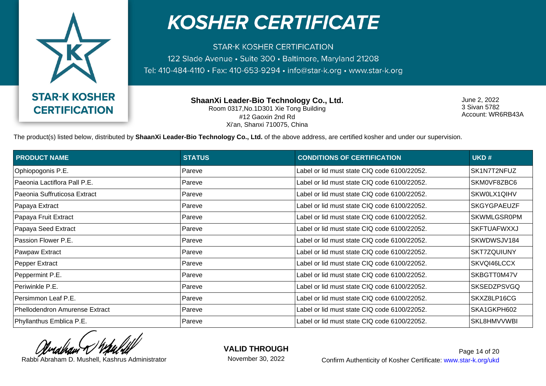

**STAR-K KOSHER CERTIFICATION** 122 Slade Avenue · Suite 300 · Baltimore, Maryland 21208 Tel: 410-484-4110 · Fax: 410-653-9294 · info@star-k.org · www.star-k.org

> **ShaanXi Leader-Bio Technology Co., Ltd.** Room 0317,No.1D301 Xie Tong Building #12 Gaoxin 2nd Rd Xi'an, Shanxi 710075, China

June 2, 2022 3 Sivan 5782 Account: WR6RB43A

The product(s) listed below, distributed by **ShaanXi Leader-Bio Technology Co., Ltd.** of the above address, are certified kosher and under our supervision.

| <b>PRODUCT NAME</b>            | <b>STATUS</b> | <b>CONDITIONS OF CERTIFICATION</b>           | UKD#               |
|--------------------------------|---------------|----------------------------------------------|--------------------|
| Ophiopogonis P.E.              | Pareve        | Label or lid must state CIQ code 6100/22052. | SK1N7T2NFUZ        |
| Paeonia Lactiflora Pall P.E.   | Pareve        | Label or lid must state CIQ code 6100/22052. | SKM0VF8ZBC6        |
| Paeonia Suffruticosa Extract   | Pareve        | Label or lid must state CIQ code 6100/22052. | SKW0LX1QIHV        |
| Papaya Extract                 | Pareve        | Label or lid must state CIQ code 6100/22052. | <b>SKGYGPAEUZF</b> |
| Papaya Fruit Extract           | Pareve        | Label or lid must state CIQ code 6100/22052. | <b>SKWMLGSR0PM</b> |
| Papaya Seed Extract            | Pareve        | Label or lid must state CIQ code 6100/22052. | <b>SKFTUAFWXXJ</b> |
| Passion Flower P.E.            | Pareve        | Label or lid must state CIQ code 6100/22052. | SKWDWSJV184        |
| Pawpaw Extract                 | Pareve        | Label or lid must state CIQ code 6100/22052. | SKT7ZQUIUNY        |
| Pepper Extract                 | Pareve        | Label or lid must state CIQ code 6100/22052. | SKVQI46LCCX        |
| Peppermint P.E.                | Pareve        | Label or lid must state CIQ code 6100/22052. | SKBGTT0M47V        |
| Periwinkle P.E.                | Pareve        | Label or lid must state CIQ code 6100/22052. | <b>SKSEDZPSVGQ</b> |
| Persimmon Leaf P.E.            | Pareve        | Label or lid must state CIQ code 6100/22052. | SKXZ8LP16CG        |
| Phellodendron Amurense Extract | Pareve        | Label or lid must state CIQ code 6100/22052. | SKA1GKPH602        |
| Phyllanthus Emblica P.E.       | Pareve        | Label or lid must state CIQ code 6100/22052. | SKL8HMVVWBI        |

**VALID THROUGH**

November 30, 2022

Rabbi Abraham D. Mushell, Kashrus Administrator **Confirm Authenticity of Kosher Certificate:** www.star-k.org/ukd Page 14 of 20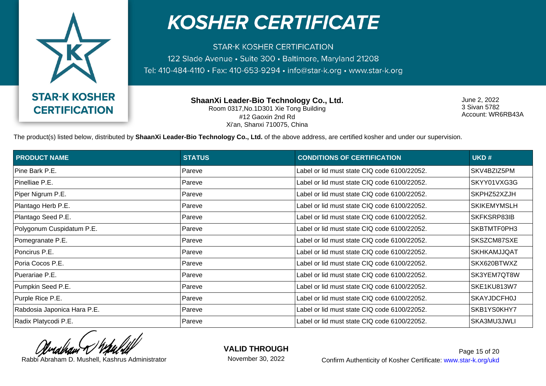

**STAR-K KOSHER CERTIFICATION** 122 Slade Avenue · Suite 300 · Baltimore, Maryland 21208 Tel: 410-484-4110 · Fax: 410-653-9294 · info@star-k.org · www.star-k.org

> **ShaanXi Leader-Bio Technology Co., Ltd.** Room 0317,No.1D301 Xie Tong Building #12 Gaoxin 2nd Rd Xi'an, Shanxi 710075, China

June 2, 2022 3 Sivan 5782 Account: WR6RB43A

The product(s) listed below, distributed by **ShaanXi Leader-Bio Technology Co., Ltd.** of the above address, are certified kosher and under our supervision.

| <b>PRODUCT NAME</b>         | <b>STATUS</b> | <b>CONDITIONS OF CERTIFICATION</b>           | UKD#               |
|-----------------------------|---------------|----------------------------------------------|--------------------|
| Pine Bark P.E.              | Pareve        | Label or lid must state CIQ code 6100/22052. | SKV4BZIZ5PM        |
| Pinelliae P.E.              | Pareve        | Label or lid must state CIQ code 6100/22052. | SKYY01VXG3G        |
| Piper Nigrum P.E.           | Pareve        | Label or lid must state CIQ code 6100/22052. | SKPHZ52XZJH        |
| Plantago Herb P.E.          | Pareve        | Label or lid must state CIQ code 6100/22052. | <b>SKIKEMYMSLH</b> |
| Plantago Seed P.E.          | Pareve        | Label or lid must state CIQ code 6100/22052. | SKFKSRP83IB        |
| Polygonum Cuspidatum P.E.   | Pareve        | Label or lid must state CIQ code 6100/22052. | SKBTMTF0PH3        |
| Pomegranate P.E.            | Pareve        | Label or lid must state CIQ code 6100/22052. | SKSZCM87SXE        |
| Poncirus P.E.               | Pareve        | Label or lid must state CIQ code 6100/22052. | <b>SKHKAMJJQAT</b> |
| Poria Cocos P.E.            | Pareve        | Label or lid must state CIQ code 6100/22052. | SKX620BTWXZ        |
| Puerariae P.E.              | Pareve        | Label or lid must state CIQ code 6100/22052. | SK3YEM7QT8W        |
| Pumpkin Seed P.E.           | Pareve        | Label or lid must state CIQ code 6100/22052. | <b>SKE1KU813W7</b> |
| Purple Rice P.E.            | Pareve        | Label or lid must state CIQ code 6100/22052. | <b>SKAYJDCFH0J</b> |
| Rabdosia Japonica Hara P.E. | Pareve        | Label or lid must state CIQ code 6100/22052. | SKB1YS0KHY7        |
| Radix Platycodi P.E.        | Pareve        | Label or lid must state CIQ code 6100/22052. | SKA3MU3JWLI        |

**VALID THROUGH**

November 30, 2022

Rabbi Abraham D. Mushell, Kashrus Administrator **Confirm Authenticity of Kosher Certificate:** www.star-k.org/ukd Page 15 of 20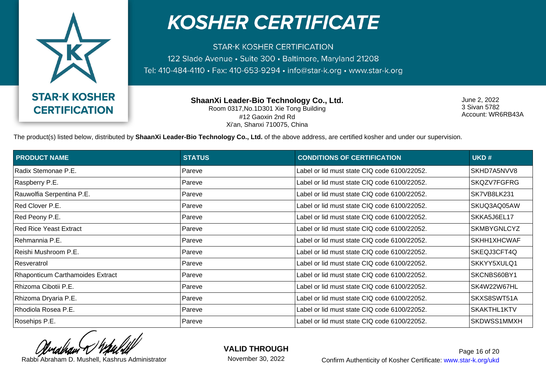

**STAR-K KOSHER CERTIFICATION** 122 Slade Avenue · Suite 300 · Baltimore, Maryland 21208 Tel: 410-484-4110 · Fax: 410-653-9294 · info@star-k.org · www.star-k.org

> **ShaanXi Leader-Bio Technology Co., Ltd.** Room 0317,No.1D301 Xie Tong Building #12 Gaoxin 2nd Rd Xi'an, Shanxi 710075, China

June 2, 2022 3 Sivan 5782 Account: WR6RB43A

The product(s) listed below, distributed by **ShaanXi Leader-Bio Technology Co., Ltd.** of the above address, are certified kosher and under our supervision.

| <b>PRODUCT NAME</b>              | <b>STATUS</b> | <b>CONDITIONS OF CERTIFICATION</b>           | UKD#               |
|----------------------------------|---------------|----------------------------------------------|--------------------|
| Radix Stemonae P.E.              | Pareve        | Label or lid must state CIQ code 6100/22052. | SKHD7A5NVV8        |
| Raspberry P.E.                   | Pareve        | Label or lid must state CIQ code 6100/22052. | SKQZV7FGFRG        |
| Rauwolfia Serpentina P.E.        | Pareve        | Label or lid must state CIQ code 6100/22052. | SK7VB8LK231        |
| Red Clover P.E.                  | Pareve        | Label or lid must state CIQ code 6100/22052. | SKUQ3AQ05AW        |
| Red Peony P.E.                   | Pareve        | Label or lid must state CIQ code 6100/22052. | SKKA5J6EL17        |
| Red Rice Yeast Extract           | Pareve        | Label or lid must state CIQ code 6100/22052. | <b>SKMBYGNLCYZ</b> |
| Rehmannia P.E.                   | Pareve        | Label or lid must state CIQ code 6100/22052. | SKHH1XHCWAF        |
| Reishi Mushroom P.E.             | Pareve        | Label or lid must state CIQ code 6100/22052. | SKEQJ3CFT4Q        |
| Resveratrol                      | Pareve        | Label or lid must state CIQ code 6100/22052. | SKKYY5XULQ1        |
| Rhaponticum Carthamoides Extract | Pareve        | Label or lid must state CIQ code 6100/22052. | SKCNBS60BY1        |
| Rhizoma Cibotii P.E.             | Pareve        | Label or lid must state CIQ code 6100/22052. | SK4W22W67HL        |
| Rhizoma Dryaria P.E.             | Pareve        | Label or lid must state CIQ code 6100/22052. | SKXS8SWT51A        |
| Rhodiola Rosea P.E.              | Pareve        | Label or lid must state CIQ code 6100/22052. | SKAKTHL1KTV        |
| Rosehips P.E.                    | Pareve        | Label or lid must state CIQ code 6100/22052. | SKDWSS1MMXH        |

**VALID THROUGH**

November 30, 2022

Rabbi Abraham D. Mushell, Kashrus Administrator **Confirm Authenticity of Kosher Certificate:** www.star-k.org/ukd Page 16 of 20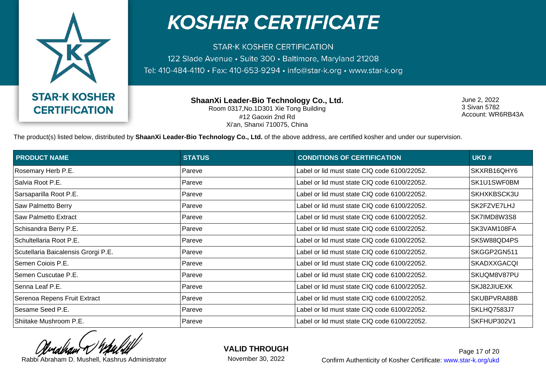

**STAR-K KOSHER CERTIFICATION** 122 Slade Avenue · Suite 300 · Baltimore, Maryland 21208 Tel: 410-484-4110 · Fax: 410-653-9294 · info@star-k.org · www.star-k.org

> **ShaanXi Leader-Bio Technology Co., Ltd.** Room 0317,No.1D301 Xie Tong Building #12 Gaoxin 2nd Rd Xi'an, Shanxi 710075, China

June 2, 2022 3 Sivan 5782 Account: WR6RB43A

The product(s) listed below, distributed by **ShaanXi Leader-Bio Technology Co., Ltd.** of the above address, are certified kosher and under our supervision.

| <b>PRODUCT NAME</b>                 | <b>STATUS</b> | <b>CONDITIONS OF CERTIFICATION</b>           | UKD#               |
|-------------------------------------|---------------|----------------------------------------------|--------------------|
| Rosemary Herb P.E.                  | Pareve        | Label or lid must state CIQ code 6100/22052. | SKXRB16QHY6        |
| Salvia Root P.E.                    | Pareve        | Label or lid must state CIQ code 6100/22052. | SK1U1SWF0BM        |
| Sarsaparilla Root P.E.              | Pareve        | Label or lid must state CIQ code 6100/22052. | SKHXKBSCK3U        |
| Saw Palmetto Berry                  | Pareve        | Label or lid must state CIQ code 6100/22052. | SK2FZVE7LHJ        |
| Saw Palmetto Extract                | Pareve        | Label or lid must state CIQ code 6100/22052. | SK7IMD8W3S8        |
| Schisandra Berry P.E.               | Pareve        | Label or lid must state CIQ code 6100/22052. | SK3VAM108FA        |
| Schultellaria Root P.E.             | Pareve        | Label or lid must state CIQ code 6100/22052. | SK5W88QD4PS        |
| Scutellaria Baicalensis Grorgi P.E. | Pareve        | Label or lid must state CIQ code 6100/22052. | SKGGP2GN511        |
| Semen Coiois P.E.                   | Pareve        | Label or lid must state CIQ code 6100/22052. | <b>SKADXXGACQI</b> |
| Semen Cuscutae P.E.                 | Pareve        | Label or lid must state CIQ code 6100/22052. | SKUQM8V87PU        |
| Senna Leaf P.E.                     | Pareve        | Label or lid must state CIQ code 6100/22052. | SKJ82JIUEXK        |
| Serenoa Repens Fruit Extract        | Pareve        | Label or lid must state CIQ code 6100/22052. | SKUBPVRA88B        |
| Sesame Seed P.E.                    | Pareve        | Label or lid must state CIQ code 6100/22052. | SKLHQ7583J7        |
| Shiitake Mushroom P.E.              | Pareve        | Label or lid must state CIQ code 6100/22052. | SKFHUP302V1        |

**VALID THROUGH**

November 30, 2022

Rabbi Abraham D. Mushell, Kashrus Administrator **Confirm Authenticity of Kosher Certificate:** www.star-k.org/ukd Page 17 of 20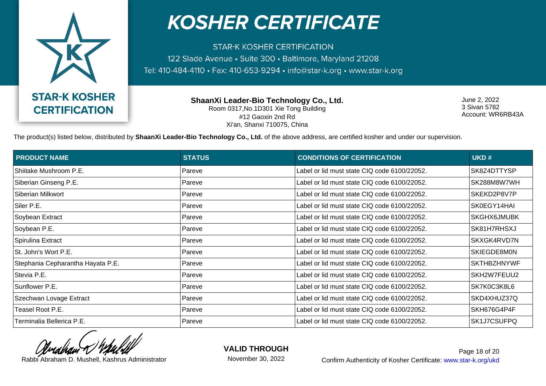

**STAR-K KOSHER CERTIFICATION** 122 Slade Avenue · Suite 300 · Baltimore, Maryland 21208 Tel: 410-484-4110 · Fax: 410-653-9294 · info@star-k.org · www.star-k.org

> **ShaanXi Leader-Bio Technology Co., Ltd.** Room 0317,No.1D301 Xie Tong Building #12 Gaoxin 2nd Rd Xi'an, Shanxi 710075, China

June 2, 2022 3 Sivan 5782 Account: WR6RB43A

The product(s) listed below, distributed by **ShaanXi Leader-Bio Technology Co., Ltd.** of the above address, are certified kosher and under our supervision.

| <b>PRODUCT NAME</b>               | <b>STATUS</b> | <b>CONDITIONS OF CERTIFICATION</b>           | UKD#               |
|-----------------------------------|---------------|----------------------------------------------|--------------------|
| Shiitake Mushroom P.E.            | Pareve        | Label or lid must state CIQ code 6100/22052. | SK8Z4DTTYSP        |
| Siberian Ginseng P.E.             | Pareve        | Label or lid must state CIQ code 6100/22052. | SK288M8W7WH        |
| Siberian Milkwort                 | Pareve        | Label or lid must state CIQ code 6100/22052. | SKEKD2P8V7P        |
| Siler P.E.                        | Pareve        | Label or lid must state CIQ code 6100/22052. | SK0EGY14HAI        |
| Soybean Extract                   | Pareve        | Label or lid must state CIQ code 6100/22052. | <b>SKGHX6JMUBK</b> |
| Soybean P.E.                      | Pareve        | Label or lid must state CIQ code 6100/22052. | SK81H7RHSXJ        |
| Spirulina Extract                 | Pareve        | Label or lid must state CIQ code 6100/22052. | SKXGK4RVD7N        |
| St. John's Wort P.E.              | Pareve        | Label or lid must state CIQ code 6100/22052. | SKIEGDE8M0N        |
| Stephania Cepharantha Hayata P.E. | Pareve        | Label or lid must state CIQ code 6100/22052. | <b>SKTHBZHNYWF</b> |
| Stevia P.E.                       | Pareve        | Label or lid must state CIQ code 6100/22052. | SKH2W7FEUU2        |
| Sunflower P.E.                    | Pareve        | Label or lid must state CIQ code 6100/22052. | SK7K0C3K8L6        |
| Szechwan Lovage Extract           | Pareve        | Label or lid must state CIQ code 6100/22052. | SKD4XHUZ37Q        |
| Teasel Root P.E.                  | Pareve        | Label or lid must state CIQ code 6100/22052. | SKH676G4P4F        |
| Terminalia Bellerica P.E.         | Pareve        | Label or lid must state CIQ code 6100/22052. | SK1J7CSUFPQ        |

**VALID THROUGH**

November 30, 2022

Rabbi Abraham D. Mushell, Kashrus Administrator **Confirm Authenticity of Kosher Certificate:** www.star-k.org/ukd Page 18 of 20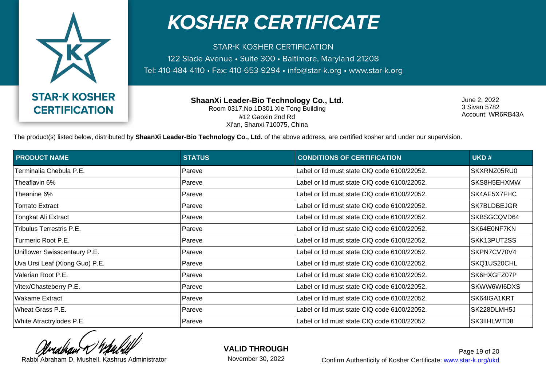

**STAR-K KOSHER CERTIFICATION** 122 Slade Avenue · Suite 300 · Baltimore, Maryland 21208 Tel: 410-484-4110 · Fax: 410-653-9294 · info@star-k.org · www.star-k.org

> **ShaanXi Leader-Bio Technology Co., Ltd.** Room 0317,No.1D301 Xie Tong Building #12 Gaoxin 2nd Rd Xi'an, Shanxi 710075, China

June 2, 2022 3 Sivan 5782 Account: WR6RB43A

The product(s) listed below, distributed by **ShaanXi Leader-Bio Technology Co., Ltd.** of the above address, are certified kosher and under our supervision.

| <b>PRODUCT NAME</b>            | <b>STATUS</b> | <b>CONDITIONS OF CERTIFICATION</b>           | UKD#        |
|--------------------------------|---------------|----------------------------------------------|-------------|
| Terminalia Chebula P.E.        | Pareve        | Label or lid must state CIQ code 6100/22052. | SKXRNZ05RU0 |
| Theaflavin 6%                  | Pareve        | Label or lid must state CIQ code 6100/22052. | SKS8H5EHXMW |
| Theanine 6%                    | Pareve        | Label or lid must state CIQ code 6100/22052. | SK4AE5X7FHC |
| Tomato Extract                 | Pareve        | Label or lid must state CIQ code 6100/22052. | SK7BLDBEJGR |
| Tongkat Ali Extract            | Pareve        | Label or lid must state CIQ code 6100/22052. | SKBSGCQVD64 |
| Tribulus Terrestris P.E.       | Pareve        | Label or lid must state CIQ code 6100/22052. | SK64E0NF7KN |
| Turmeric Root P.E.             | Pareve        | Label or lid must state CIQ code 6100/22052. | SKK13PUT2SS |
| Uniflower Swisscentaury P.E.   | Pareve        | Label or lid must state CIQ code 6100/22052. | SKPN7CV70V4 |
| Uva Ursi Leaf (Xiong Guo) P.E. | Pareve        | Label or lid must state CIQ code 6100/22052. | SKQ1US20CHL |
| Valerian Root P.E.             | Pareve        | Label or lid must state CIQ code 6100/22052. | SK6HXGFZ07P |
| Vitex/Chasteberry P.E.         | Pareve        | Label or lid must state CIQ code 6100/22052. | SKWW6WI6DXS |
| <b>Wakame Extract</b>          | Pareve        | Label or lid must state CIQ code 6100/22052. | SK64IGA1KRT |
| Wheat Grass P.E.               | Pareve        | Label or lid must state CIQ code 6100/22052. | SK228DLMH5J |
| White Atractrylodes P.E.       | Pareve        | Label or lid must state CIQ code 6100/22052. | SK3IIHLWTD8 |

**VALID THROUGH**

November 30, 2022

Rabbi Abraham D. Mushell, Kashrus Administrator **Confirm Authenticity of Kosher Certificate:** www.star-k.org/ukd Page 19 of 20